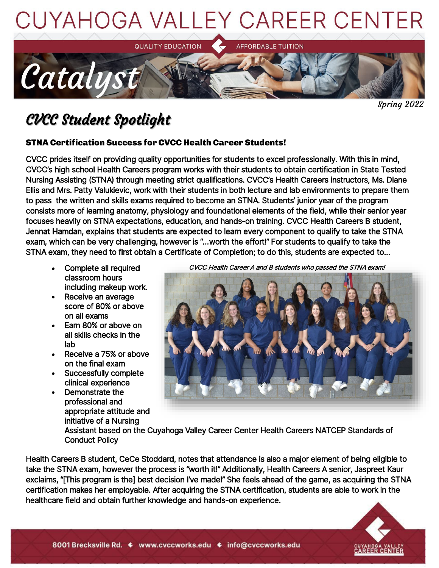



Spring 2022

## CVCC Student Spotlight

#### STNA Certification Success for CVCC Health Career Students!

CVCC prides itself on providing quality opportunities for students to excel professionally. With this in mind, CVCC's high school Health Careers program works with their students to obtain certification in State Tested Nursing Assisting (STNA) through meeting strict qualifications. CVCC's Health Careers instructors, Ms. Diane Ellis and Mrs. Patty Valukievic, work with their students in both lecture and lab environments to prepare them to pass the written and skills exams required to become an STNA. Students' junior year of the program consists more of learning anatomy, physiology and foundational elements of the field, while their senior year focuses heavily on STNA expectations, education, and hands-on training. CVCC Health Careers B student, Jennat Hamdan, explains that students are expected to learn every component to qualify to take the STNA exam, which can be very challenging, however is "…worth the effort!" For students to qualify to take the STNA exam, they need to first obtain a Certificate of Completion; to do this, students are expected to…

- Complete all required classroom hours including makeup work.
- Receive an average score of 80% or above on all exams
- Earn 80% or above on all skills checks in the lab
- Receive a 75% or above on the final exam
- Successfully complete clinical experience
- Demonstrate the professional and appropriate attitude and initiative of a Nursing

CVCC Health Career A and B students who passed the STNA exam!



Assistant based on the Cuyahoga Valley Career Center Health Careers NATCEP Standards of Conduct Policy

Health Careers B student, CeCe Stoddard, notes that attendance is also a major element of being eligible to take the STNA exam, however the process is "worth it!" Additionally, Health Careers A senior, Jaspreet Kaur exclaims, "[This program is the] best decision I've made!" She feels ahead of the game, as acquiring the STNA certification makes her employable. After acquiring the STNA certification, students are able to work in the healthcare field and obtain further knowledge and hands-on experience.

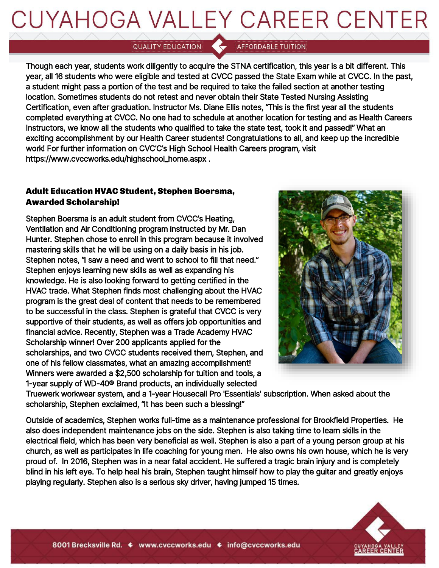## CUYAHOGA VALLEY CAREER CENTER

QUALITY EDUCATION

**AFFORDABLE TUITION** 

Though each year, students work diligently to acquire the STNA certification, this year is a bit different. This year, all 16 students who were eligible and tested at CVCC passed the State Exam while at CVCC. In the past, a student might pass a portion of the test and be required to take the failed section at another testing location. Sometimes students do not retest and never obtain their State Tested Nursing Assisting Certification, even after graduation. Instructor Ms. Diane Ellis notes, "This is the first year all the students completed everything at CVCC. No one had to schedule at another location for testing and as Health Careers Instructors, we know all the students who qualified to take the state test, took it and passed!" What an exciting accomplishment by our Health Career students! Congratulations to all, and keep up the incredible work! For further information on CVC'C's High School Health Careers program, visit https://www.cvccworks.edu/highschool\_home.aspx .

#### Adult Education HVAC Student, Stephen Boersma, Awarded Scholarship!

Stephen Boersma is an adult student from CVCC's Heating, Ventilation and Air Conditioning program instructed by Mr. Dan Hunter. Stephen chose to enroll in this program because it involved mastering skills that he will be using on a daily basis in his job. Stephen notes, "I saw a need and went to school to fill that need." Stephen enjoys learning new skills as well as expanding his knowledge. He is also looking forward to getting certified in the HVAC trade. What Stephen finds most challenging about the HVAC program is the great deal of content that needs to be remembered to be successful in the class. Stephen is grateful that CVCC is very supportive of their students, as well as offers job opportunities and financial advice. Recently, Stephen was a Trade Academy HVAC Scholarship winner! Over 200 applicants applied for the scholarships, and two CVCC students received them, Stephen, and one of his fellow classmates, what an amazing accomplishment! Winners were awarded a \$2,500 scholarship for tuition and tools, a 1-year supply of WD-40® Brand products, an individually selected



Truewerk workwear system, and a 1-year Housecall Pro 'Essentials' subscription. When asked about the scholarship, Stephen exclaimed, "It has been such a blessing!"

Outside of academics, Stephen works full-time as a maintenance professional for Brookfield Properties. He also does independent maintenance jobs on the side. Stephen is also taking time to learn skills in the electrical field, which has been very beneficial as well. Stephen is also a part of a young person group at his church, as well as participates in life coaching for young men. He also owns his own house, which he is very proud of. In 2016, Stephen was in a near fatal accident. He suffered a tragic brain injury and is completely blind in his left eye. To help heal his brain, Stephen taught himself how to play the guitar and greatly enjoys playing regularly. Stephen also is a serious sky driver, having jumped 15 times.